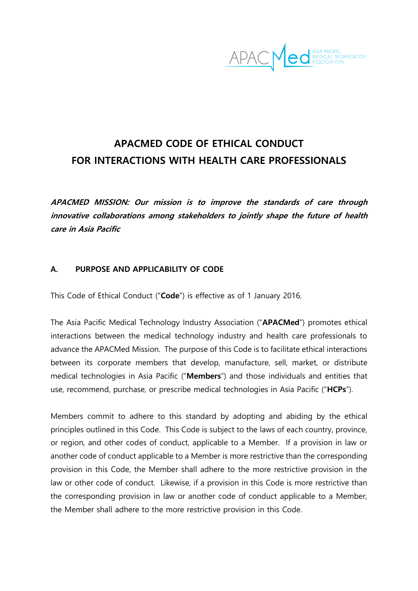

# **APACMED CODE OF ETHICAL CONDUCT FOR INTERACTIONS WITH HEALTH CARE PROFESSIONALS**

**APACMED MISSION: Our mission is to improve the standards of care through innovative collaborations among stakeholders to jointly shape the future of health care in Asia Pacific**

# **A. PURPOSE AND APPLICABILITY OF CODE**

This Code of Ethical Conduct ("**Code**") is effective as of 1 January 2016.

The Asia Pacific Medical Technology Industry Association ("**APACMed**") promotes ethical interactions between the medical technology industry and health care professionals to advance the APACMed Mission. The purpose of this Code is to facilitate ethical interactions between its corporate members that develop, manufacture, sell, market, or distribute medical technologies in Asia Pacific ("**Members**") and those individuals and entities that use, recommend, purchase, or prescribe medical technologies in Asia Pacific ("**HCPs**").

Members commit to adhere to this standard by adopting and abiding by the ethical principles outlined in this Code. This Code is subject to the laws of each country, province, or region, and other codes of conduct, applicable to a Member. If a provision in law or another code of conduct applicable to a Member is more restrictive than the corresponding provision in this Code, the Member shall adhere to the more restrictive provision in the law or other code of conduct. Likewise, if a provision in this Code is more restrictive than the corresponding provision in law or another code of conduct applicable to a Member, the Member shall adhere to the more restrictive provision in this Code.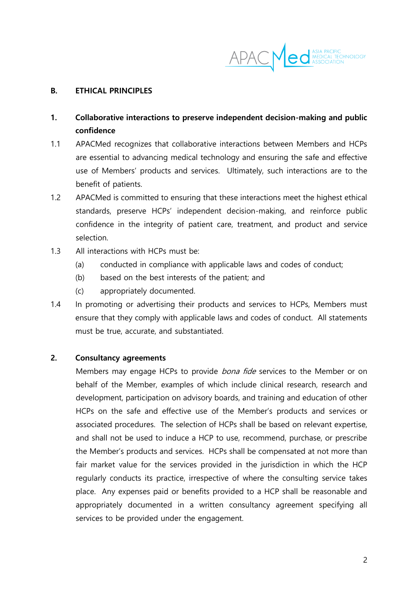

# **B. ETHICAL PRINCIPLES**

- **1. Collaborative interactions to preserve independent decision-making and public confidence**
- 1.1 APACMed recognizes that collaborative interactions between Members and HCPs are essential to advancing medical technology and ensuring the safe and effective use of Members' products and services. Ultimately, such interactions are to the benefit of patients.
- 1.2 APACMed is committed to ensuring that these interactions meet the highest ethical standards, preserve HCPs' independent decision-making, and reinforce public confidence in the integrity of patient care, treatment, and product and service selection.
- 1.3 All interactions with HCPs must be:
	- (a) conducted in compliance with applicable laws and codes of conduct;
	- (b) based on the best interests of the patient; and
	- (c) appropriately documented.
- 1.4 In promoting or advertising their products and services to HCPs, Members must ensure that they comply with applicable laws and codes of conduct. All statements must be true, accurate, and substantiated.

#### **2. Consultancy agreements**

Members may engage HCPs to provide *bona fide* services to the Member or on behalf of the Member, examples of which include clinical research, research and development, participation on advisory boards, and training and education of other HCPs on the safe and effective use of the Member's products and services or associated procedures. The selection of HCPs shall be based on relevant expertise, and shall not be used to induce a HCP to use, recommend, purchase, or prescribe the Member's products and services. HCPs shall be compensated at not more than fair market value for the services provided in the jurisdiction in which the HCP regularly conducts its practice, irrespective of where the consulting service takes place. Any expenses paid or benefits provided to a HCP shall be reasonable and appropriately documented in a written consultancy agreement specifying all services to be provided under the engagement.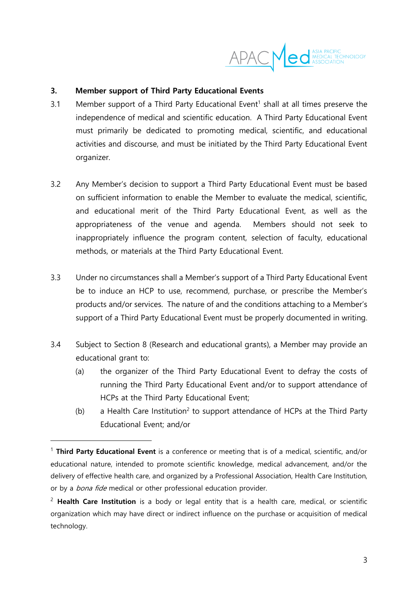

# **3. Member support of Third Party Educational Events**

- 3.1 Member support of a Third Party Educational Event<sup>1</sup> shall at all times preserve the independence of medical and scientific education. A Third Party Educational Event must primarily be dedicated to promoting medical, scientific, and educational activities and discourse, and must be initiated by the Third Party Educational Event organizer.
- 3.2 Any Member's decision to support a Third Party Educational Event must be based on sufficient information to enable the Member to evaluate the medical, scientific, and educational merit of the Third Party Educational Event, as well as the appropriateness of the venue and agenda. Members should not seek to inappropriately influence the program content, selection of faculty, educational methods, or materials at the Third Party Educational Event.
- 3.3 Under no circumstances shall a Member's support of a Third Party Educational Event be to induce an HCP to use, recommend, purchase, or prescribe the Member's products and/or services. The nature of and the conditions attaching to a Member's support of a Third Party Educational Event must be properly documented in writing.
- 3.4 Subject to Section 8 (Research and educational grants), a Member may provide an educational grant to:
	- (a) the organizer of the Third Party Educational Event to defray the costs of running the Third Party Educational Event and/or to support attendance of HCPs at the Third Party Educational Event;
	- (b) a Health Care Institution<sup>2</sup> to support attendance of HCPs at the Third Party Educational Event; and/or

-

<sup>1</sup> **Third Party Educational Event** is a conference or meeting that is of a medical, scientific, and/or educational nature, intended to promote scientific knowledge, medical advancement, and/or the delivery of effective health care, and organized by a Professional Association, Health Care Institution, or by a *bona fide* medical or other professional education provider.

<sup>2</sup> **Health Care Institution** is a body or legal entity that is a health care, medical, or scientific organization which may have direct or indirect influence on the purchase or acquisition of medical technology.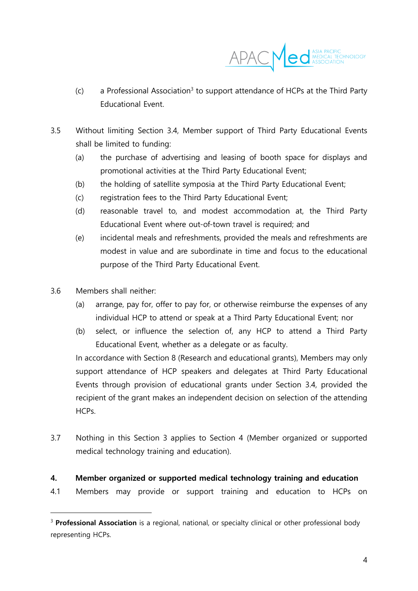

- (c) a Professional Association<sup>3</sup> to support attendance of HCPs at the Third Party Educational Event.
- 3.5 Without limiting Section 3.4, Member support of Third Party Educational Events shall be limited to funding:
	- (a) the purchase of advertising and leasing of booth space for displays and promotional activities at the Third Party Educational Event;
	- (b) the holding of satellite symposia at the Third Party Educational Event;
	- (c) registration fees to the Third Party Educational Event;
	- (d) reasonable travel to, and modest accommodation at, the Third Party Educational Event where out-of-town travel is required; and
	- (e) incidental meals and refreshments, provided the meals and refreshments are modest in value and are subordinate in time and focus to the educational purpose of the Third Party Educational Event.
- 3.6 Members shall neither:

-

- (a) arrange, pay for, offer to pay for, or otherwise reimburse the expenses of any individual HCP to attend or speak at a Third Party Educational Event; nor
- (b) select, or influence the selection of, any HCP to attend a Third Party Educational Event, whether as a delegate or as faculty.

In accordance with Section 8 (Research and educational grants), Members may only support attendance of HCP speakers and delegates at Third Party Educational Events through provision of educational grants under Section 3.4, provided the recipient of the grant makes an independent decision on selection of the attending HCPs.

3.7 Nothing in this Section 3 applies to Section 4 (Member organized or supported medical technology training and education).

#### **4. Member organized or supported medical technology training and education**

4.1 Members may provide or support training and education to HCPs on

<sup>&</sup>lt;sup>3</sup> Professional Association is a regional, national, or specialty clinical or other professional body representing HCPs.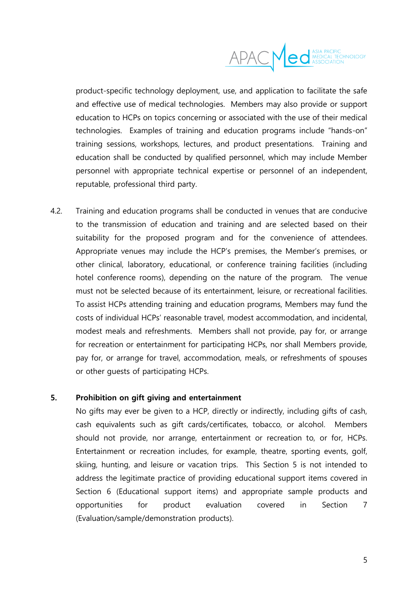

product-specific technology deployment, use, and application to facilitate the safe and effective use of medical technologies. Members may also provide or support education to HCPs on topics concerning or associated with the use of their medical technologies. Examples of training and education programs include "hands-on" training sessions, workshops, lectures, and product presentations. Training and education shall be conducted by qualified personnel, which may include Member personnel with appropriate technical expertise or personnel of an independent, reputable, professional third party.

4.2. Training and education programs shall be conducted in venues that are conducive to the transmission of education and training and are selected based on their suitability for the proposed program and for the convenience of attendees. Appropriate venues may include the HCP's premises, the Member's premises, or other clinical, laboratory, educational, or conference training facilities (including hotel conference rooms), depending on the nature of the program. The venue must not be selected because of its entertainment, leisure, or recreational facilities. To assist HCPs attending training and education programs, Members may fund the costs of individual HCPs' reasonable travel, modest accommodation, and incidental, modest meals and refreshments. Members shall not provide, pay for, or arrange for recreation or entertainment for participating HCPs, nor shall Members provide, pay for, or arrange for travel, accommodation, meals, or refreshments of spouses or other guests of participating HCPs.

#### **5. Prohibition on gift giving and entertainment**

No gifts may ever be given to a HCP, directly or indirectly, including gifts of cash, cash equivalents such as gift cards/certificates, tobacco, or alcohol. Members should not provide, nor arrange, entertainment or recreation to, or for, HCPs. Entertainment or recreation includes, for example, theatre, sporting events, golf, skiing, hunting, and leisure or vacation trips. This Section 5 is not intended to address the legitimate practice of providing educational support items covered in Section 6 (Educational support items) and appropriate sample products and opportunities for product evaluation covered in Section 7 (Evaluation/sample/demonstration products).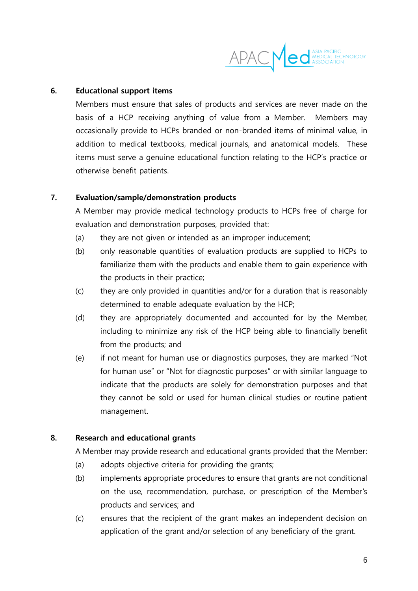

### **6. Educational support items**

Members must ensure that sales of products and services are never made on the basis of a HCP receiving anything of value from a Member. Members may occasionally provide to HCPs branded or non-branded items of minimal value, in addition to medical textbooks, medical journals, and anatomical models. These items must serve a genuine educational function relating to the HCP's practice or otherwise benefit patients.

#### **7. Evaluation/sample/demonstration products**

A Member may provide medical technology products to HCPs free of charge for evaluation and demonstration purposes, provided that:

- (a) they are not given or intended as an improper inducement;
- (b) only reasonable quantities of evaluation products are supplied to HCPs to familiarize them with the products and enable them to gain experience with the products in their practice;
- (c) they are only provided in quantities and/or for a duration that is reasonably determined to enable adequate evaluation by the HCP;
- (d) they are appropriately documented and accounted for by the Member, including to minimize any risk of the HCP being able to financially benefit from the products; and
- (e) if not meant for human use or diagnostics purposes, they are marked "Not for human use" or "Not for diagnostic purposes" or with similar language to indicate that the products are solely for demonstration purposes and that they cannot be sold or used for human clinical studies or routine patient management.

#### **8. Research and educational grants**

A Member may provide research and educational grants provided that the Member:

- (a) adopts objective criteria for providing the grants;
- (b) implements appropriate procedures to ensure that grants are not conditional on the use, recommendation, purchase, or prescription of the Member's products and services; and
- (c) ensures that the recipient of the grant makes an independent decision on application of the grant and/or selection of any beneficiary of the grant.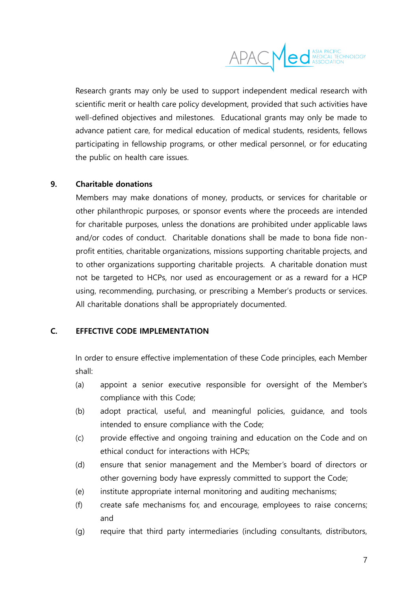

Research grants may only be used to support independent medical research with scientific merit or health care policy development, provided that such activities have well-defined objectives and milestones. Educational grants may only be made to advance patient care, for medical education of medical students, residents, fellows participating in fellowship programs, or other medical personnel, or for educating the public on health care issues.

#### **9. Charitable donations**

Members may make donations of money, products, or services for charitable or other philanthropic purposes, or sponsor events where the proceeds are intended for charitable purposes, unless the donations are prohibited under applicable laws and/or codes of conduct. Charitable donations shall be made to bona fide nonprofit entities, charitable organizations, missions supporting charitable projects, and to other organizations supporting charitable projects. A charitable donation must not be targeted to HCPs, nor used as encouragement or as a reward for a HCP using, recommending, purchasing, or prescribing a Member's products or services. All charitable donations shall be appropriately documented.

# **C. EFFECTIVE CODE IMPLEMENTATION**

In order to ensure effective implementation of these Code principles, each Member shall:

- (a) appoint a senior executive responsible for oversight of the Member's compliance with this Code;
- (b) adopt practical, useful, and meaningful policies, guidance, and tools intended to ensure compliance with the Code;
- (c) provide effective and ongoing training and education on the Code and on ethical conduct for interactions with HCPs;
- (d) ensure that senior management and the Member's board of directors or other governing body have expressly committed to support the Code;
- (e) institute appropriate internal monitoring and auditing mechanisms;
- (f) create safe mechanisms for, and encourage, employees to raise concerns; and
- (g) require that third party intermediaries (including consultants, distributors,